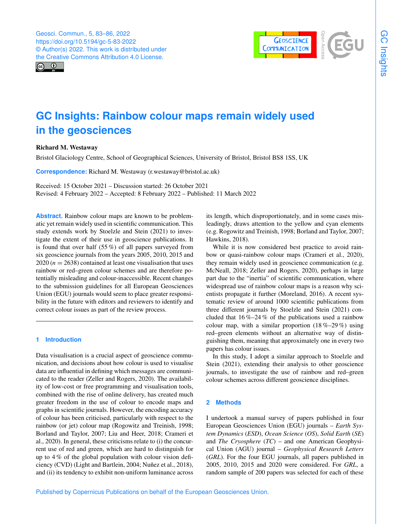



# **GC Insights: Rainbow colour maps remain widely used in the geosciences**

## Richard M. Westaway

Bristol Glaciology Centre, School of Geographical Sciences, University of Bristol, Bristol BS8 1SS, UK

**Correspondence:** Richard M. Westaway (r.westaway@bristol.ac.uk)

Received: 15 October 2021 – Discussion started: 26 October 2021 Revised: 4 February 2022 – Accepted: 8 February 2022 – Published: 11 March 2022

**Abstract.** Rainbow colour maps are known to be problematic yet remain widely used in scientific communication. This study extends work by Stoelzle and Stein (2021) to investigate the extent of their use in geoscience publications. It is found that over half (55 %) of all papers surveyed from six geoscience journals from the years 2005, 2010, 2015 and 2020 ( $n = 2638$ ) contained at least one visualisation that uses rainbow or red–green colour schemes and are therefore potentially misleading and colour-inaccessible. Recent changes to the submission guidelines for all European Geosciences Union (EGU) journals would seem to place greater responsibility in the future with editors and reviewers to identify and correct colour issues as part of the review process.

## **1 Introduction**

Data visualisation is a crucial aspect of geoscience communication, and decisions about how colour is used to visualise data are influential in defining which messages are communicated to the reader (Zeller and Rogers, 2020). The availability of low-cost or free programming and visualisation tools, combined with the rise of online delivery, has created much greater freedom in the use of colour to encode maps and graphs in scientific journals. However, the encoding accuracy of colour has been criticised, particularly with respect to the rainbow (or jet) colour map (Rogowitz and Treinish, 1998; Borland and Taylor, 2007; Liu and Heer, 2018; Crameri et al., 2020). In general, these criticisms relate to (i) the concurrent use of red and green, which are hard to distinguish for up to 4 % of the global population with colour vision deficiency (CVD) (Light and Bartlein, 2004; Nuñez et al., 2018), and (ii) its tendency to exhibit non-uniform luminance across its length, which disproportionately, and in some cases misleadingly, draws attention to the yellow and cyan elements (e.g. Rogowitz and Treinish, 1998; Borland and Taylor, 2007; Hawkins, 2018).

While it is now considered best practice to avoid rainbow or quasi-rainbow colour maps (Crameri et al., 2020), they remain widely used in geoscience communication (e.g. McNeall, 2018; Zeller and Rogers, 2020), perhaps in large part due to the "inertia" of scientific communication, where widespread use of rainbow colour maps is a reason why scientists propagate it further (Moreland, 2016). A recent systematic review of around 1000 scientific publications from three different journals by Stoelzle and Stein (2021) concluded that  $16\% - 24\%$  of the publications used a rainbow colour map, with a similar proportion  $(18\% - 29\%)$  using red–green elements without an alternative way of distinguishing them, meaning that approximately one in every two papers has colour issues.

In this study, I adopt a similar approach to Stoelzle and Stein (2021), extending their analysis to other geoscience journals, to investigate the use of rainbow and red–green colour schemes across different geoscience disciplines.

## **2 Methods**

I undertook a manual survey of papers published in four European Geosciences Union (EGU) journals – *Earth System Dynamics* (*ESD*), *Ocean Science* (*OS*), *Solid Earth* (*SE*) and *The Cryosphere* (*TC*) – and one American Geophysical Union (AGU) journal – *Geophysical Research Letters* (*GRL*). For the four EGU journals, all papers published in 2005, 2010, 2015 and 2020 were considered. For *GRL*, a random sample of 200 papers was selected for each of these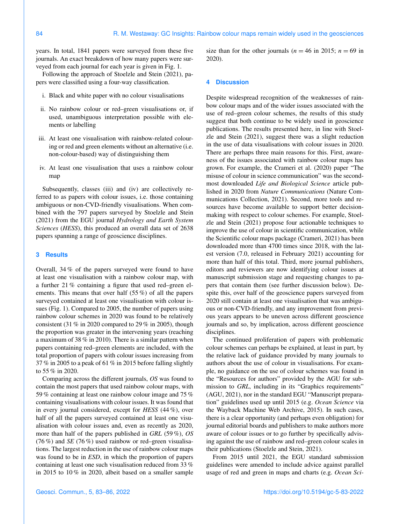years. In total, 1841 papers were surveyed from these five journals. An exact breakdown of how many papers were surveyed from each journal for each year is given in Fig. 1.

Following the approach of Stoelzle and Stein (2021), papers were classified using a four-way classification.

- i. Black and white paper with no colour visualisations
- ii. No rainbow colour or red–green visualisations or, if used, unambiguous interpretation possible with elements or labelling
- iii. At least one visualisation with rainbow-related colouring or red and green elements without an alternative (i.e. non-colour-based) way of distinguishing them
- iv. At least one visualisation that uses a rainbow colour map

Subsequently, classes (iii) and (iv) are collectively referred to as papers with colour issues, i.e. those containing ambiguous or non-CVD-friendly visualisations. When combined with the 797 papers surveyed by Stoelzle and Stein (2021) from the EGU journal *Hydrology and Earth System Sciences* (*HESS*), this produced an overall data set of 2638 papers spanning a range of geoscience disciplines.

#### **3 Results**

Overall, 34 % of the papers surveyed were found to have at least one visualisation with a rainbow colour map, with a further 21 % containing a figure that used red–green elements. This means that over half (55 %) of all the papers surveyed contained at least one visualisation with colour issues (Fig. 1). Compared to 2005, the number of papers using rainbow colour schemes in 2020 was found to be relatively consistent (31  $\%$  in 2020 compared to 29  $\%$  in 2005), though the proportion was greater in the intervening years (reaching a maximum of 38 % in 2010). There is a similar pattern when papers containing red–green elements are included, with the total proportion of papers with colour issues increasing from 37 % in 2005 to a peak of 61 % in 2015 before falling slightly to 55 % in 2020.

Comparing across the different journals, *OS* was found to contain the most papers that used rainbow colour maps, with 59 % containing at least one rainbow colour image and 75 % containing visualisations with colour issues. It was found that in every journal considered, except for *HESS* (44 %), over half of all the papers surveyed contained at least one visualisation with colour issues and, even as recently as 2020, more than half of the papers published in *GRL* (59 %), *OS* (76 %) and *SE* (76 %) used rainbow or red–green visualisations. The largest reduction in the use of rainbow colour maps was found to be in *ESD*, in which the proportion of papers containing at least one such visualisation reduced from 33 % in 2015 to 10 % in 2020, albeit based on a smaller sample size than for the other journals ( $n = 46$  in 2015;  $n = 69$  in 2020).

### **4 Discussion**

Despite widespread recognition of the weaknesses of rainbow colour maps and of the wider issues associated with the use of red–green colour schemes, the results of this study suggest that both continue to be widely used in geoscience publications. The results presented here, in line with Stoelzle and Stein (2021), suggest there was a slight reduction in the use of data visualisations with colour issues in 2020. There are perhaps three main reasons for this. First, awareness of the issues associated with rainbow colour maps has grown. For example, the Crameri et al. (2020) paper "The misuse of colour in science communication" was the secondmost downloaded *Life and Biological Science* article published in 2020 from *Nature Communications* (Nature Communications Collection, 2021). Second, more tools and resources have become available to support better decisionmaking with respect to colour schemes. For example, Stoelzle and Stein (2021) propose four actionable techniques to improve the use of colour in scientific communication, while the Scientific colour maps package (Crameri, 2021) has been downloaded more than 4700 times since 2018, with the latest version (7.0, released in February 2021) accounting for more than half of this total. Third, more journal publishers, editors and reviewers are now identifying colour issues at manuscript submission stage and requesting changes to papers that contain them (see further discussion below). Despite this, over half of the geoscience papers surveyed from 2020 still contain at least one visualisation that was ambiguous or non-CVD-friendly, and any improvement from previous years appears to be uneven across different geoscience journals and so, by implication, across different geoscience disciplines.

The continued proliferation of papers with problematic colour schemes can perhaps be explained, at least in part, by the relative lack of guidance provided by many journals to authors about the use of colour in visualisations. For example, no guidance on the use of colour schemes was found in the "Resources for authors" provided by the AGU for submission to *GRL*, including in its "Graphics requirements" (AGU, 2021), nor in the standard EGU "Manuscript preparation" guidelines used up until 2015 (e.g. *Ocean Science* via the Wayback Machine Web Archive, 2015). In such cases, there is a clear opportunity (and perhaps even obligation) for journal editorial boards and publishers to make authors more aware of colour issues or to go further by specifically advising against the use of rainbow and red–green colour scales in their publications (Stoelzle and Stein, 2021).

From 2015 until 2021, the EGU standard submission guidelines were amended to include advice against parallel usage of red and green in maps and charts (e.g. *Ocean Sci-*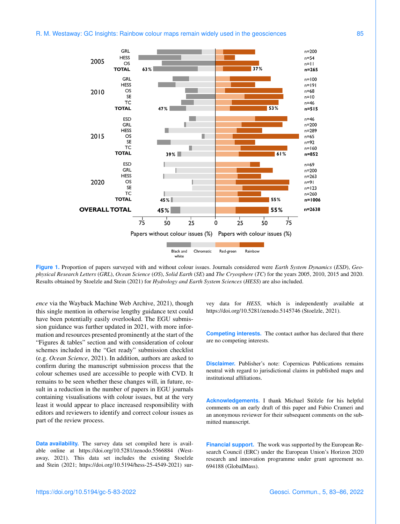

**Figure 1.** Proportion of papers surveyed with and without colour issues. Journals considered were *Earth System Dynamics* (*ESD*), *Geophysical Research Letters* (*GRL*), *Ocean Science* (*OS*), *Solid Earth* (*SE*) and *The Cryosphere* (*TC*) for the years 2005, 2010, 2015 and 2020. Results obtained by Stoelzle and Stein (2021) for *Hydrology and Earth System Sciences* (*HESS*) are also included.

*ence* via the Wayback Machine Web Archive, 2021), though this single mention in otherwise lengthy guidance text could have been potentially easily overlooked. The EGU submission guidance was further updated in 2021, with more information and resources presented prominently at the start of the "Figures & tables" section and with consideration of colour schemes included in the "Get ready" submission checklist (e.g. *Ocean Science*, 2021). In addition, authors are asked to confirm during the manuscript submission process that the colour schemes used are accessible to people with CVD. It remains to be seen whether these changes will, in future, result in a reduction in the number of papers in EGU journals containing visualisations with colour issues, but at the very least it would appear to place increased responsibility with editors and reviewers to identify and correct colour issues as part of the review process.

**Data availability.** The survey data set compiled here is available online at https://doi.org[/10.5281/zenodo.5566884](https://doi.org/10.5281/zenodo.5566884) (Westaway, 2021). This data set includes the existing Stoelzle and Stein (2021; https://doi.org[/10.5194/hess-25-4549-2021\)](https://doi.org/10.5194/hess-25-4549-2021) survey data for *HESS*, which is independently available at https://doi.org[/10.5281/zenodo.5145746](https://doi.org/10.5281/zenodo.5145746) (Stoelzle, 2021).

**Competing interests.** The contact author has declared that there are no competing interests.

**Disclaimer.** Publisher's note: Copernicus Publications remains neutral with regard to jurisdictional claims in published maps and institutional affiliations.

**Acknowledgements.** I thank Michael Stölzle for his helpful comments on an early draft of this paper and Fabio Crameri and an anonymous reviewer for their subsequent comments on the submitted manuscript.

**Financial support.** The work was supported by the European Research Council (ERC) under the European Union's Horizon 2020 research and innovation programme under grant agreement no. 694188 (GlobalMass).